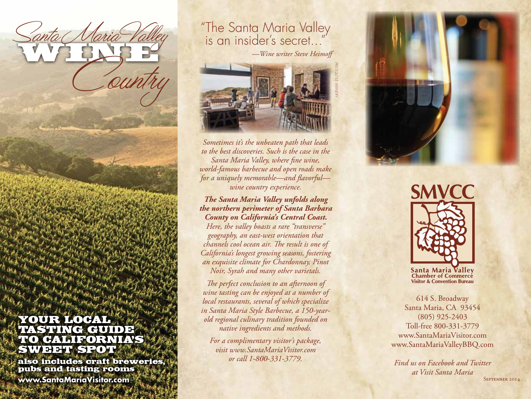

also includes craft breweries, pubs and tasting rooms

Santa Naria Valley

**www.SantaMariaVisitor.com**

## Santa Maria Valley "The Santa Maria Valley"

*—Wine writer Steve Heimoff*



*Sometimes it's the unbeaten path that leads to the best discoveries. Such is the case in the Santa Maria Valley, where fine wine, world-famous barbecue and open roads make for a uniquely memorable—and flavorful wine country experience.* 

*The Santa Maria Valley unfolds along the northern perimeter of Santa Barbara County on California's Central Coast.*

*Here, the valley boasts a rare "transverse" geography, an east-west orientation that channels cool ocean air. The result is one of California's longest growing seasons, fostering an exquisite climate for Chardonnay, Pinot Noir, Syrah and many other varietals.* 

*The perfect conclusion to an afternoon of wine tasting can be enjoyed at a number of local restaurants, several of which specialize in Santa Maria Style Barbecue, a 150-yearold regional culinary tradition founded on native ingredients and methods.* 

*For a complimentary visitor's package, visit www.SantaMariaVisitor.com or call 1-800-331-3779.*



Santa Maria Valley **Chamber of Commerce Visitor & Convention Bureau** 

614 S. Broadway Santa Maria, CA 93454 (805) 925-2403 Toll-free 800-331-3779 www.SantaMariaVisitor.com www.SantaMariaValleyBBQ.com

*Find us on Facebook and Twitter at Visit Santa Maria* SEPTEMBER 2014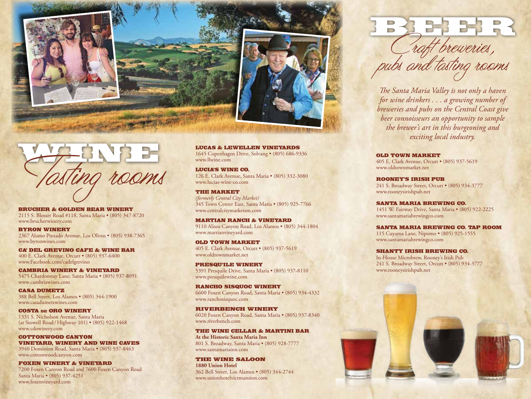





Brucher & Golden Bear Winery 2115 S. Blosser Road #118, Santa Maria • (805) 347-8720 www.brucherwinery.com

Byron Winery 2367 Alamo Pintado Avenue, Los Olivos • (805) 938-7365 www.byronwines.com

Ca' Del GreVino Cafe & Wine Bar 400 E. Clark Avenue, Orcutt • (805) 937-6400 www.Facebook.com/cadelgrevino

Cambria Winery & Vineyard 5475 Chardonnay Lane, Santa Maria • (805) 937-8091 www.cambriawines.com

Casa Dumetz 388 Bell Street, Los Alamos • (805) 344-1900 www.casadumetzwines.com

Costa de Oro Winery 1331 S. Nicholson Avenue, Santa Maria (at Stowell Road / Highway 101) • (805) 922-1468 www.cdowinery.com

COTTONWOOD CANYON Vineyard, Winery and wine caves 3940 Dominion Road, Santa Maria • (805) 937-8463 www.cottonwoodcanyon.com

Foxen Winery & Vineyard 7200 Foxen Canyon Road and 7600 Foxen Canyon Road Santa Maria • (805) 937-4251 www.foxenvineyard.com

LUcas & Lewellen Vineyards 1645 Copenhagen Drive, Solvang • (805) 686-9336 www.llwine.com

Lucia's Wine Co. 126 E. Clark Avenue, Santa Maria • (805) 332-3080 www.lucias-wine-co.com

The Market *(formerly Central City Market)*  345 Town Center East, Santa Maria • (805) 925-7766 www.centralcitymarketsm.com

Martian Ranch & Vineyard 9110 Alisos Canyon Road, Los Alamos • (805) 344-1804 www.martianvineyard.com

Old Town Market 405 E. Clark Avenue, Orcutt • (805) 937-5619 www.oldtownmarket.net

Presqu'ile Winery 5391 Presquile Drive, Santa Maria • (805) 937-8110 www.presquilewine.com

RANCHO SISQUOC WINERY 6600 Foxen Canyon Road, Santa Maria • (805) 934-4332 www.ranchosisquoc.com

Riverbench Winery 6020 Foxen Canyon Road, Santa Maria • (805) 937-8340 www.riverbench.com

The Wine Cellar & martini bar **At the Historic Santa Maria Inn**  801 S. Broadway, Santa Maria • (805) 928-7777 www.santamariainn.com

The Wine Saloon **1880 Union Hotel** 362 Bell Street, Los Alamos • (805) 344-2744 www.unionhotelvictmansion.com



*The Santa Maria Valley is not only a haven for wine drinkers . . . a growing number of breweries and pubs on the Central Coast give beer connoisseurs an opportunity to sample the brewer's art in this burgeoning and exciting local industry.* 

Old Town Market 405 E. Clark Avenue, Orcutt • (805) 937-5619 www.oldtownmarket.net

Rooney, s Irish Pub 241 S. Broadway Street, Orcutt • (805) 934-3777 www.rooneysirishpub.net

Santa Maria Brewing Co. 1451 W. Fairway Drive, Santa Maria • (805) 922-2225 www.santamariabrewingco.com

Santa Maria Brewing Co. Tap Room

115 Cuyama Lane, Nipomo • (805) 925-1555 www.santamariabrewingco.com

Shanty Irish Brewing Co. In-House Microbrew, Rooney's Irish Pub 241 S. Broadway Street, Orcutt • (805) 934-3777 www.rooneysirishpub.net